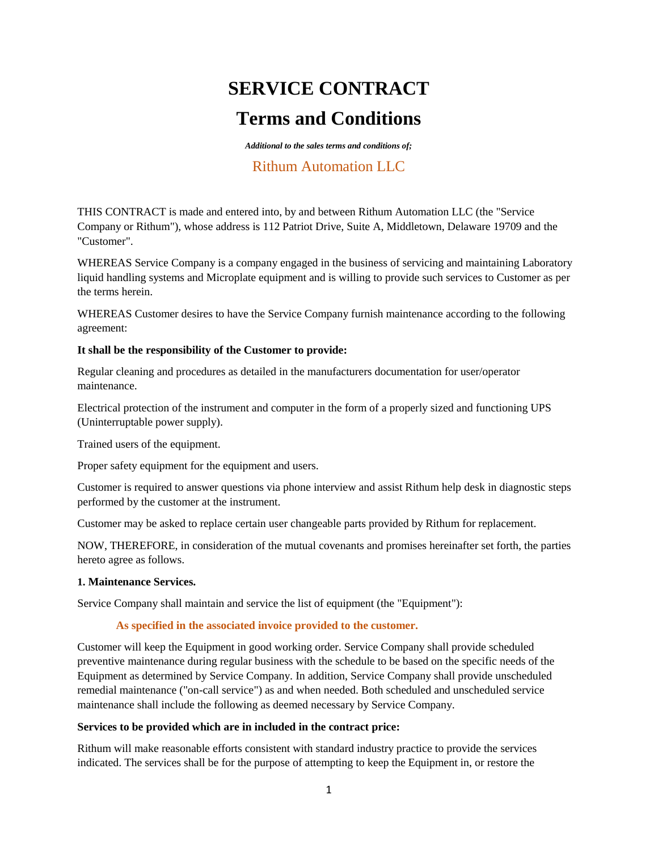# **SERVICE CONTRACT Terms and Conditions**

*Additional to the sales terms and conditions of;*

# Rithum Automation LLC

THIS CONTRACT is made and entered into, by and between Rithum Automation LLC (the "Service Company or Rithum"), whose address is 112 Patriot Drive, Suite A, Middletown, Delaware 19709 and the "Customer".

WHEREAS Service Company is a company engaged in the business of servicing and maintaining Laboratory liquid handling systems and Microplate equipment and is willing to provide such services to Customer as per the terms herein.

WHEREAS Customer desires to have the Service Company furnish maintenance according to the following agreement:

# **It shall be the responsibility of the Customer to provide:**

Regular cleaning and procedures as detailed in the manufacturers documentation for user/operator maintenance.

Electrical protection of the instrument and computer in the form of a properly sized and functioning UPS (Uninterruptable power supply).

Trained users of the equipment.

Proper safety equipment for the equipment and users.

Customer is required to answer questions via phone interview and assist Rithum help desk in diagnostic steps performed by the customer at the instrument.

Customer may be asked to replace certain user changeable parts provided by Rithum for replacement.

NOW, THEREFORE, in consideration of the mutual covenants and promises hereinafter set forth, the parties hereto agree as follows.

#### **1. Maintenance Services.**

Service Company shall maintain and service the list of equipment (the "Equipment"):

# **As specified in the associated invoice provided to the customer.**

Customer will keep the Equipment in good working order. Service Company shall provide scheduled preventive maintenance during regular business with the schedule to be based on the specific needs of the Equipment as determined by Service Company. In addition, Service Company shall provide unscheduled remedial maintenance ("on-call service") as and when needed. Both scheduled and unscheduled service maintenance shall include the following as deemed necessary by Service Company.

#### **Services to be provided which are in included in the contract price:**

Rithum will make reasonable efforts consistent with standard industry practice to provide the services indicated. The services shall be for the purpose of attempting to keep the Equipment in, or restore the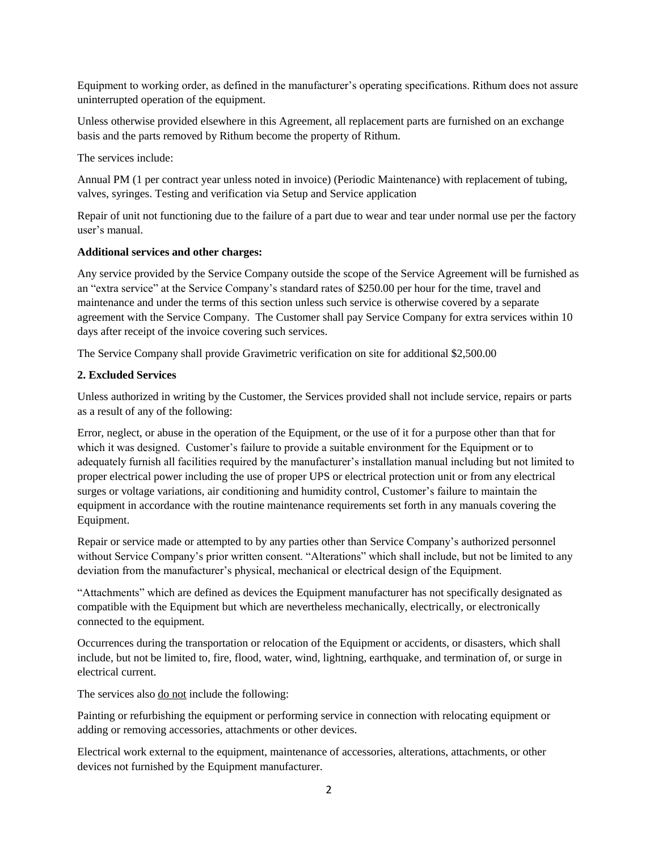Equipment to working order, as defined in the manufacturer's operating specifications. Rithum does not assure uninterrupted operation of the equipment.

Unless otherwise provided elsewhere in this Agreement, all replacement parts are furnished on an exchange basis and the parts removed by Rithum become the property of Rithum.

The services include:

Annual PM (1 per contract year unless noted in invoice) (Periodic Maintenance) with replacement of tubing, valves, syringes. Testing and verification via Setup and Service application

Repair of unit not functioning due to the failure of a part due to wear and tear under normal use per the factory user's manual.

#### **Additional services and other charges:**

Any service provided by the Service Company outside the scope of the Service Agreement will be furnished as an "extra service" at the Service Company's standard rates of \$250.00 per hour for the time, travel and maintenance and under the terms of this section unless such service is otherwise covered by a separate agreement with the Service Company. The Customer shall pay Service Company for extra services within 10 days after receipt of the invoice covering such services.

The Service Company shall provide Gravimetric verification on site for additional \$2,500.00

# **2. Excluded Services**

Unless authorized in writing by the Customer, the Services provided shall not include service, repairs or parts as a result of any of the following:

Error, neglect, or abuse in the operation of the Equipment, or the use of it for a purpose other than that for which it was designed. Customer's failure to provide a suitable environment for the Equipment or to adequately furnish all facilities required by the manufacturer's installation manual including but not limited to proper electrical power including the use of proper UPS or electrical protection unit or from any electrical surges or voltage variations, air conditioning and humidity control, Customer's failure to maintain the equipment in accordance with the routine maintenance requirements set forth in any manuals covering the Equipment.

Repair or service made or attempted to by any parties other than Service Company's authorized personnel without Service Company's prior written consent. "Alterations" which shall include, but not be limited to any deviation from the manufacturer's physical, mechanical or electrical design of the Equipment.

"Attachments" which are defined as devices the Equipment manufacturer has not specifically designated as compatible with the Equipment but which are nevertheless mechanically, electrically, or electronically connected to the equipment.

Occurrences during the transportation or relocation of the Equipment or accidents, or disasters, which shall include, but not be limited to, fire, flood, water, wind, lightning, earthquake, and termination of, or surge in electrical current.

The services also <u>do not</u> include the following:

Painting or refurbishing the equipment or performing service in connection with relocating equipment or adding or removing accessories, attachments or other devices.

Electrical work external to the equipment, maintenance of accessories, alterations, attachments, or other devices not furnished by the Equipment manufacturer.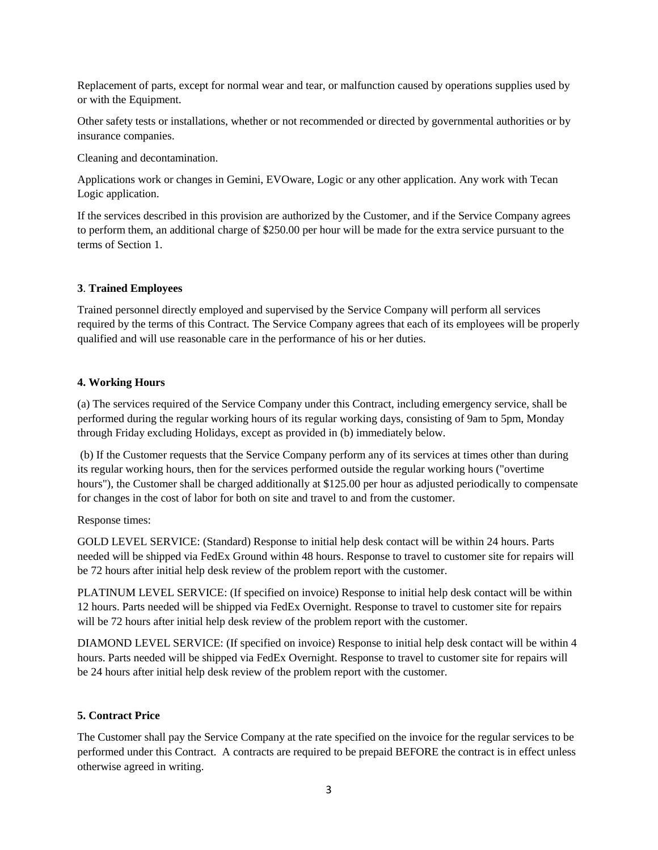Replacement of parts, except for normal wear and tear, or malfunction caused by operations supplies used by or with the Equipment.

Other safety tests or installations, whether or not recommended or directed by governmental authorities or by insurance companies.

Cleaning and decontamination.

Applications work or changes in Gemini, EVOware, Logic or any other application. Any work with Tecan Logic application.

If the services described in this provision are authorized by the Customer, and if the Service Company agrees to perform them, an additional charge of \$250.00 per hour will be made for the extra service pursuant to the terms of Section 1.

#### **3**. **Trained Employees**

Trained personnel directly employed and supervised by the Service Company will perform all services required by the terms of this Contract. The Service Company agrees that each of its employees will be properly qualified and will use reasonable care in the performance of his or her duties.

#### **4. Working Hours**

(a) The services required of the Service Company under this Contract, including emergency service, shall be performed during the regular working hours of its regular working days, consisting of 9am to 5pm, Monday through Friday excluding Holidays, except as provided in (b) immediately below.

(b) If the Customer requests that the Service Company perform any of its services at times other than during its regular working hours, then for the services performed outside the regular working hours ("overtime hours"), the Customer shall be charged additionally at \$125.00 per hour as adjusted periodically to compensate for changes in the cost of labor for both on site and travel to and from the customer.

#### Response times:

GOLD LEVEL SERVICE: (Standard) Response to initial help desk contact will be within 24 hours. Parts needed will be shipped via FedEx Ground within 48 hours. Response to travel to customer site for repairs will be 72 hours after initial help desk review of the problem report with the customer.

PLATINUM LEVEL SERVICE: (If specified on invoice) Response to initial help desk contact will be within 12 hours. Parts needed will be shipped via FedEx Overnight. Response to travel to customer site for repairs will be 72 hours after initial help desk review of the problem report with the customer.

DIAMOND LEVEL SERVICE: (If specified on invoice) Response to initial help desk contact will be within 4 hours. Parts needed will be shipped via FedEx Overnight. Response to travel to customer site for repairs will be 24 hours after initial help desk review of the problem report with the customer.

#### **5. Contract Price**

The Customer shall pay the Service Company at the rate specified on the invoice for the regular services to be performed under this Contract. A contracts are required to be prepaid BEFORE the contract is in effect unless otherwise agreed in writing.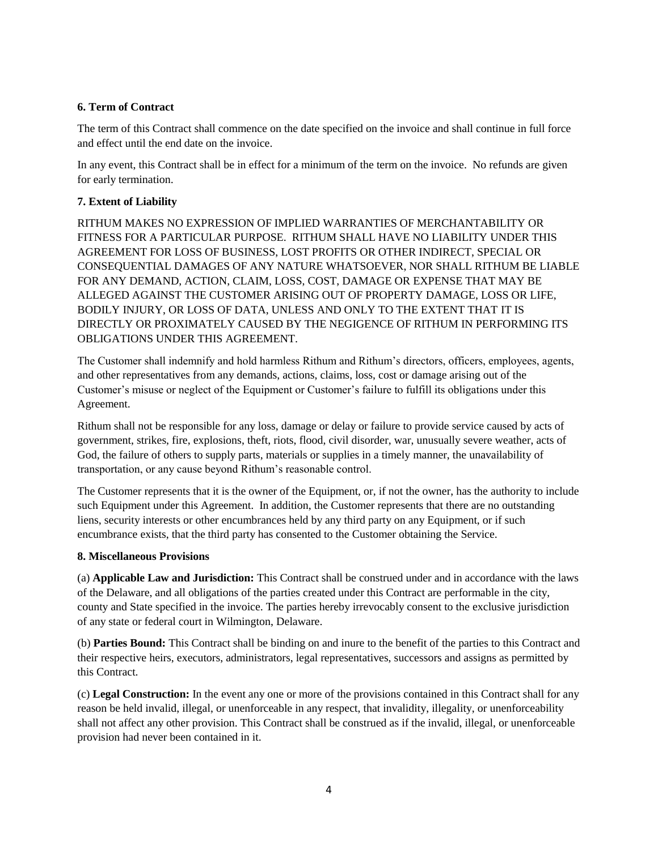# **6. Term of Contract**

The term of this Contract shall commence on the date specified on the invoice and shall continue in full force and effect until the end date on the invoice.

In any event, this Contract shall be in effect for a minimum of the term on the invoice. No refunds are given for early termination.

# **7. Extent of Liability**

RITHUM MAKES NO EXPRESSION OF IMPLIED WARRANTIES OF MERCHANTABILITY OR FITNESS FOR A PARTICULAR PURPOSE. RITHUM SHALL HAVE NO LIABILITY UNDER THIS AGREEMENT FOR LOSS OF BUSINESS, LOST PROFITS OR OTHER INDIRECT, SPECIAL OR CONSEQUENTIAL DAMAGES OF ANY NATURE WHATSOEVER, NOR SHALL RITHUM BE LIABLE FOR ANY DEMAND, ACTION, CLAIM, LOSS, COST, DAMAGE OR EXPENSE THAT MAY BE ALLEGED AGAINST THE CUSTOMER ARISING OUT OF PROPERTY DAMAGE, LOSS OR LIFE, BODILY INJURY, OR LOSS OF DATA, UNLESS AND ONLY TO THE EXTENT THAT IT IS DIRECTLY OR PROXIMATELY CAUSED BY THE NEGIGENCE OF RITHUM IN PERFORMING ITS OBLIGATIONS UNDER THIS AGREEMENT.

The Customer shall indemnify and hold harmless Rithum and Rithum's directors, officers, employees, agents, and other representatives from any demands, actions, claims, loss, cost or damage arising out of the Customer's misuse or neglect of the Equipment or Customer's failure to fulfill its obligations under this Agreement.

Rithum shall not be responsible for any loss, damage or delay or failure to provide service caused by acts of government, strikes, fire, explosions, theft, riots, flood, civil disorder, war, unusually severe weather, acts of God, the failure of others to supply parts, materials or supplies in a timely manner, the unavailability of transportation, or any cause beyond Rithum's reasonable control.

The Customer represents that it is the owner of the Equipment, or, if not the owner, has the authority to include such Equipment under this Agreement. In addition, the Customer represents that there are no outstanding liens, security interests or other encumbrances held by any third party on any Equipment, or if such encumbrance exists, that the third party has consented to the Customer obtaining the Service.

# **8. Miscellaneous Provisions**

(a) **Applicable Law and Jurisdiction:** This Contract shall be construed under and in accordance with the laws of the Delaware, and all obligations of the parties created under this Contract are performable in the city, county and State specified in the invoice. The parties hereby irrevocably consent to the exclusive jurisdiction of any state or federal court in Wilmington, Delaware.

(b) **Parties Bound:** This Contract shall be binding on and inure to the benefit of the parties to this Contract and their respective heirs, executors, administrators, legal representatives, successors and assigns as permitted by this Contract.

(c) **Legal Construction:** In the event any one or more of the provisions contained in this Contract shall for any reason be held invalid, illegal, or unenforceable in any respect, that invalidity, illegality, or unenforceability shall not affect any other provision. This Contract shall be construed as if the invalid, illegal, or unenforceable provision had never been contained in it.